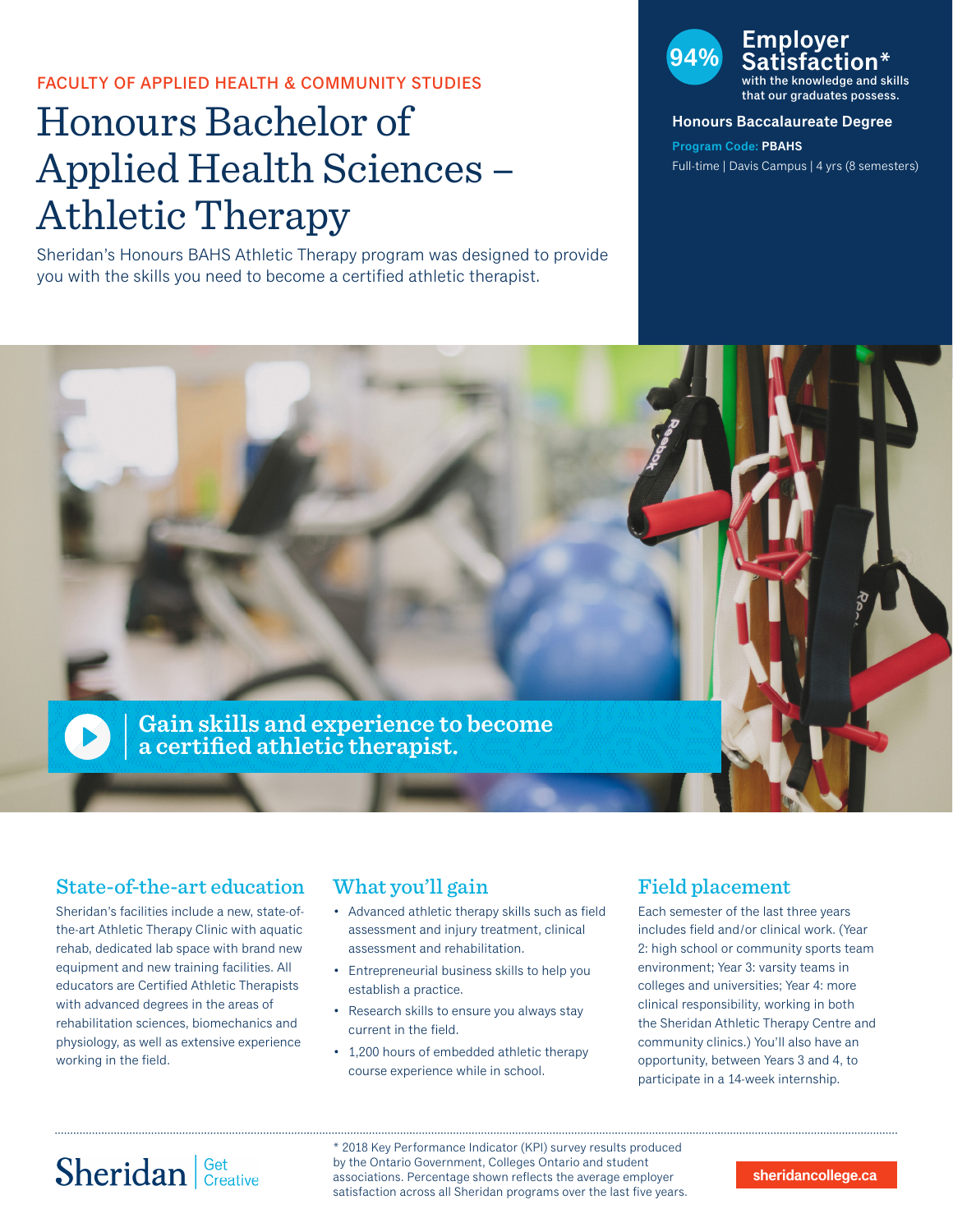### FACULTY OF APPLIED HEALTH & COMMUNITY STUDIES

# Honours Bachelor of Applied Health Sciences – Athletic Therapy

Sheridan's Honours BAHS Athletic Therapy program was designed to provide you with the skills you need to become a certified athletic therapist.



the knowledge and skills that our graduates possess.

#### **Honours Baccalaureate Degree**

**Program Code: PBAHS** Full-time | Davis Campus | 4 yrs (8 semesters)



## State-of-the-art education

Sheridan's facilities include a new, state-ofthe-art Athletic Therapy Clinic with aquatic rehab, dedicated lab space with brand new equipment and new training facilities. All educators are Certified Athletic Therapists with advanced degrees in the areas of rehabilitation sciences, biomechanics and physiology, as well as extensive experience working in the field.

### What you'll gain

- Advanced athletic therapy skills such as field assessment and injury treatment, clinical assessment and rehabilitation.
- Entrepreneurial business skills to help you establish a practice.
- Research skills to ensure you always stay current in the field.
- 1,200 hours of embedded athletic therapy course experience while in school.

## Field placement

Each semester of the last three years includes field and/or clinical work. (Year 2: high school or community sports team environment; Year 3: varsity teams in colleges and universities; Year 4: more clinical responsibility, working in both the Sheridan Athletic Therapy Centre and community clinics.) You'll also have an opportunity, between Years 3 and 4, to participate in a 14-week internship.

# Sheridan | Get Creative

\* 2018 Key Performance Indicator (KPI) survey results produced by the Ontario Government, Colleges Ontario and student associations. Percentage shown reflects the average employer satisfaction across all Sheridan programs over the last five years.